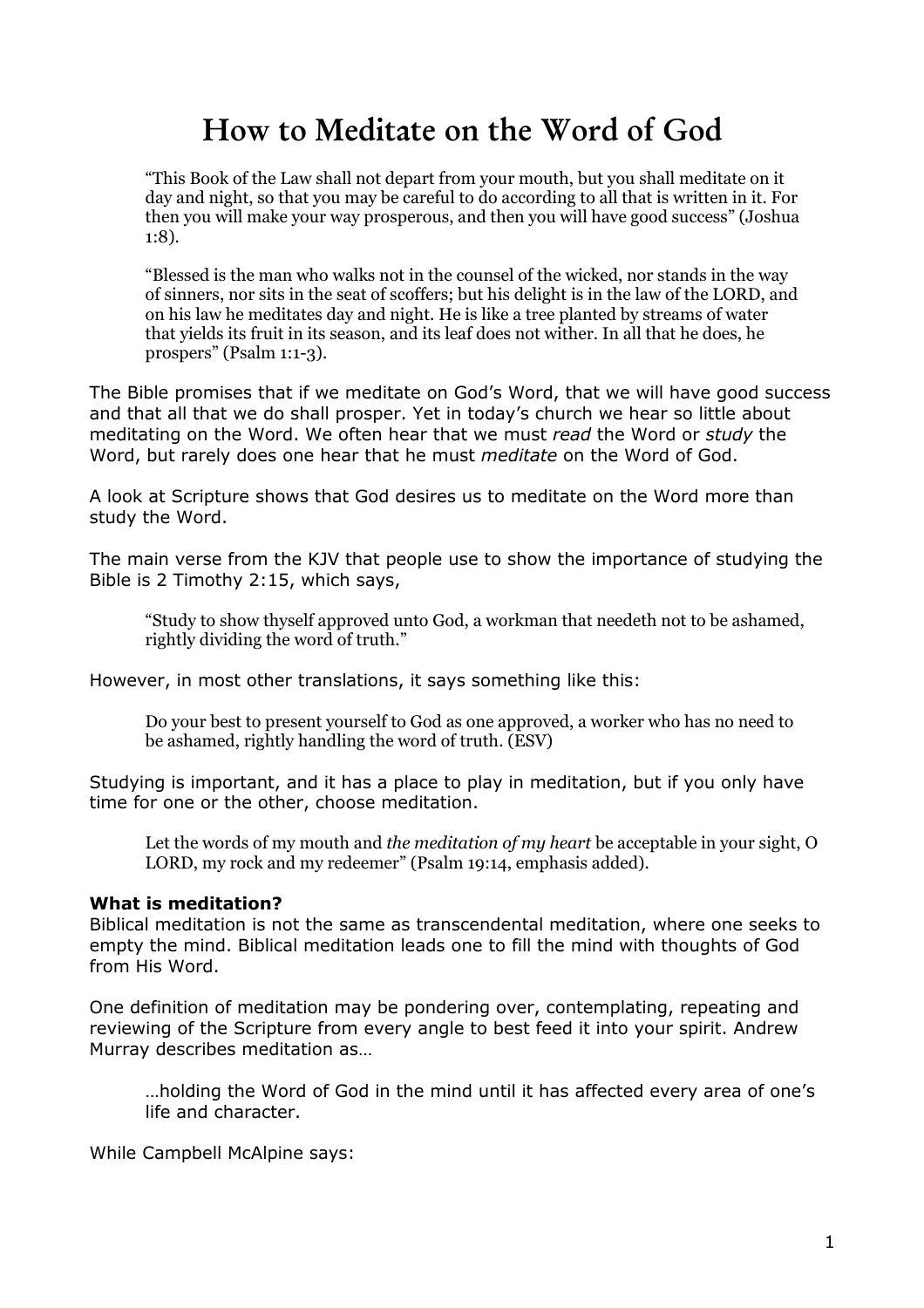# How to Meditate on the Word of God

"This Book of the Law shall not depart from your mouth, but you shall meditate on it day and night, so that you may be careful to do according to all that is written in it. For then you will make your way prosperous, and then you will have good success" (Joshua  $1:8$ ).

"Blessed is the man who walks not in the counsel of the wicked, nor stands in the way of sinners, nor sits in the seat of scoffers; but his delight is in the law of the LORD, and on his law he meditates day and night. He is like a tree planted by streams of water that yields its fruit in its season, and its leaf does not wither. In all that he does, he prospers" (Psalm  $1:1-3$ ).

The Bible promises that if we meditate on God's Word, that we will have good success and that all that we do shall prosper. Yet in today's church we hear so little about meditating on the Word. We often hear that we must read the Word or study the Word, but rarely does one hear that he must meditate on the Word of God.

A look at Scripture shows that God desires us to meditate on the Word more than study the Word.

The main verse from the KJV that people use to show the importance of studying the Bible is 2 Timothy 2:15, which says,

"Study to show thyself approved unto God, a workman that needeth not to be ashamed, rightly dividing the word of truth."

However, in most other translations, it says something like this:

Do vour best to present vourself to God as one approved, a worker who has no need to be ashamed, rightly handling the word of truth. (ESV)

Studying is important, and it has a place to play in meditation, but if you only have time for one or the other, choose meditation.

Let the words of my mouth and the meditation of my heart be acceptable in your sight, O LORD, my rock and my redeemer" (Psalm 19:14, emphasis added).

### What is meditation?

Biblical meditation is not the same as transcendental meditation, where one seeks to empty the mind. Biblical meditation leads one to fill the mind with thoughts of God from His Word.

One definition of meditation may be pondering over, contemplating, repeating and reviewing of the Scripture from every angle to best feed it into your spirit. Andrew Murray describes meditation as...

...holding the Word of God in the mind until it has affected every area of one's life and character.

While Campbell McAlpine savs: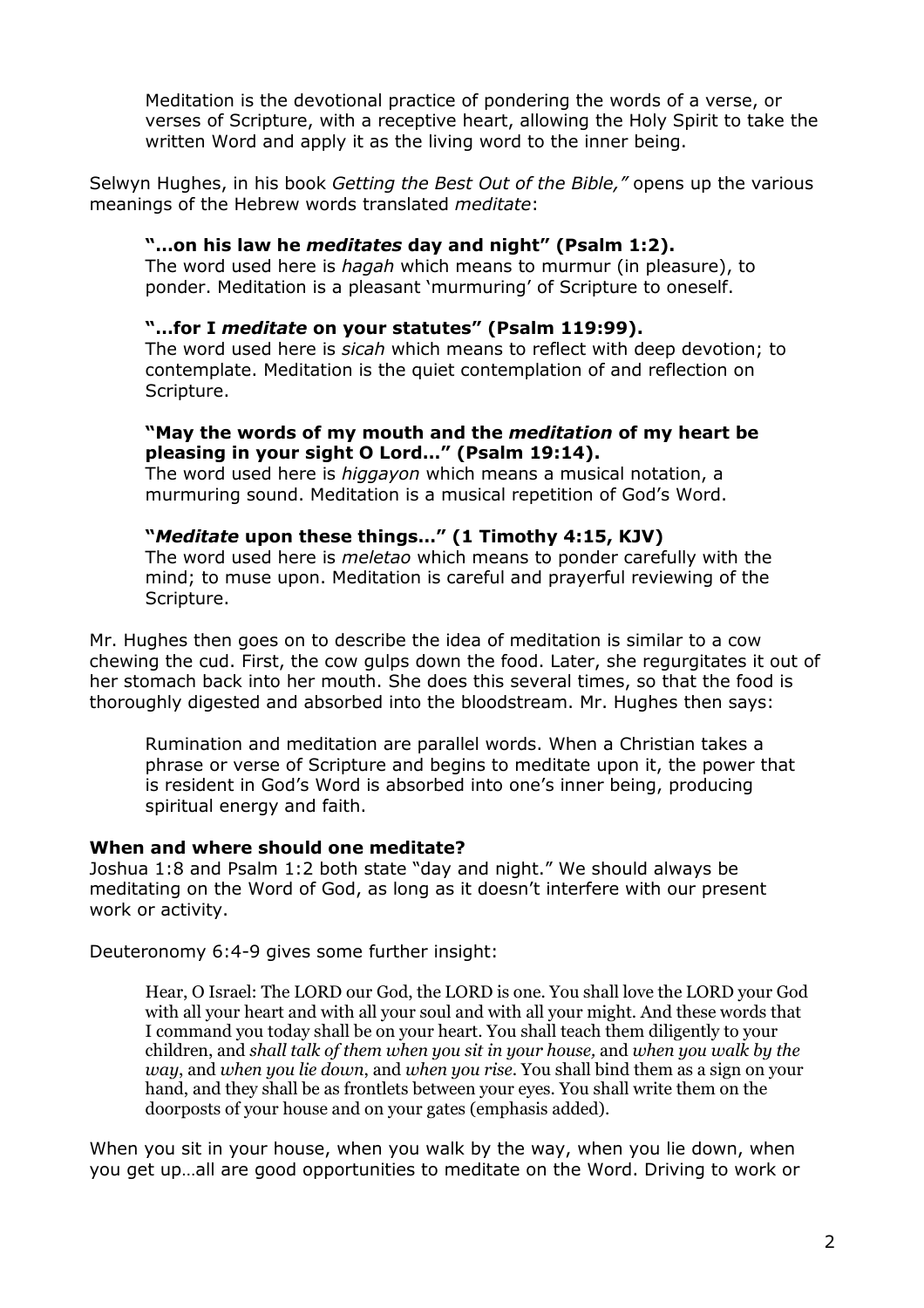Meditation is the devotional practice of pondering the words of a verse, or verses of Scripture, with a receptive heart, allowing the Holy Spirit to take the written Word and apply it as the living word to the inner being.

Selwyn Hughes, in his book Getting the Best Out of the Bible," opens up the various meanings of the Hebrew words translated meditate:

# "...on his law he meditates day and night" (Psalm 1:2).

The word used here is hagah which means to murmur (in pleasure), to ponder. Meditation is a pleasant 'murmuring' of Scripture to oneself.

## "...for I meditate on your statutes" (Psalm 119:99).

The word used here is *sicah* which means to reflect with deep devotion; to contemplate. Meditation is the quiet contemplation of and reflection on Scripture.

# "May the words of my mouth and the *meditation* of my heart be pleasing in your sight O Lord..." (Psalm 19:14).

The word used here is *higgayon* which means a musical notation, a murmuring sound. Meditation is a musical repetition of God's Word.

## "Meditate upon these things..." (1 Timothy 4:15, KJV)

The word used here is *meletao* which means to ponder carefully with the mind: to muse upon. Meditation is careful and prayerful reviewing of the Scripture.

Mr. Hughes then goes on to describe the idea of meditation is similar to a cow chewing the cud. First, the cow gulps down the food. Later, she regurgitates it out of her stomach back into her mouth. She does this several times, so that the food is thoroughly digested and absorbed into the bloodstream. Mr. Hughes then says:

Rumination and meditation are parallel words. When a Christian takes a phrase or verse of Scripture and begins to meditate upon it, the power that is resident in God's Word is absorbed into one's inner being, producing spiritual energy and faith.

### When and where should one meditate?

Joshua 1:8 and Psalm 1:2 both state "day and night." We should always be meditating on the Word of God, as long as it doesn't interfere with our present work or activity.

Deuteronomy 6:4-9 gives some further insight:

Hear, O Israel: The LORD our God, the LORD is one. You shall love the LORD your God with all your heart and with all your soul and with all your might. And these words that I command you today shall be on your heart. You shall teach them diligently to your children, and shall talk of them when you sit in your house, and when you walk by the way, and when you lie down, and when you rise. You shall bind them as a sign on your hand, and they shall be as frontlets between your eves. You shall write them on the doorposts of your house and on your gates (emphasis added).

When you sit in your house, when you walk by the way, when you lie down, when you get up...all are good opportunities to meditate on the Word. Driving to work or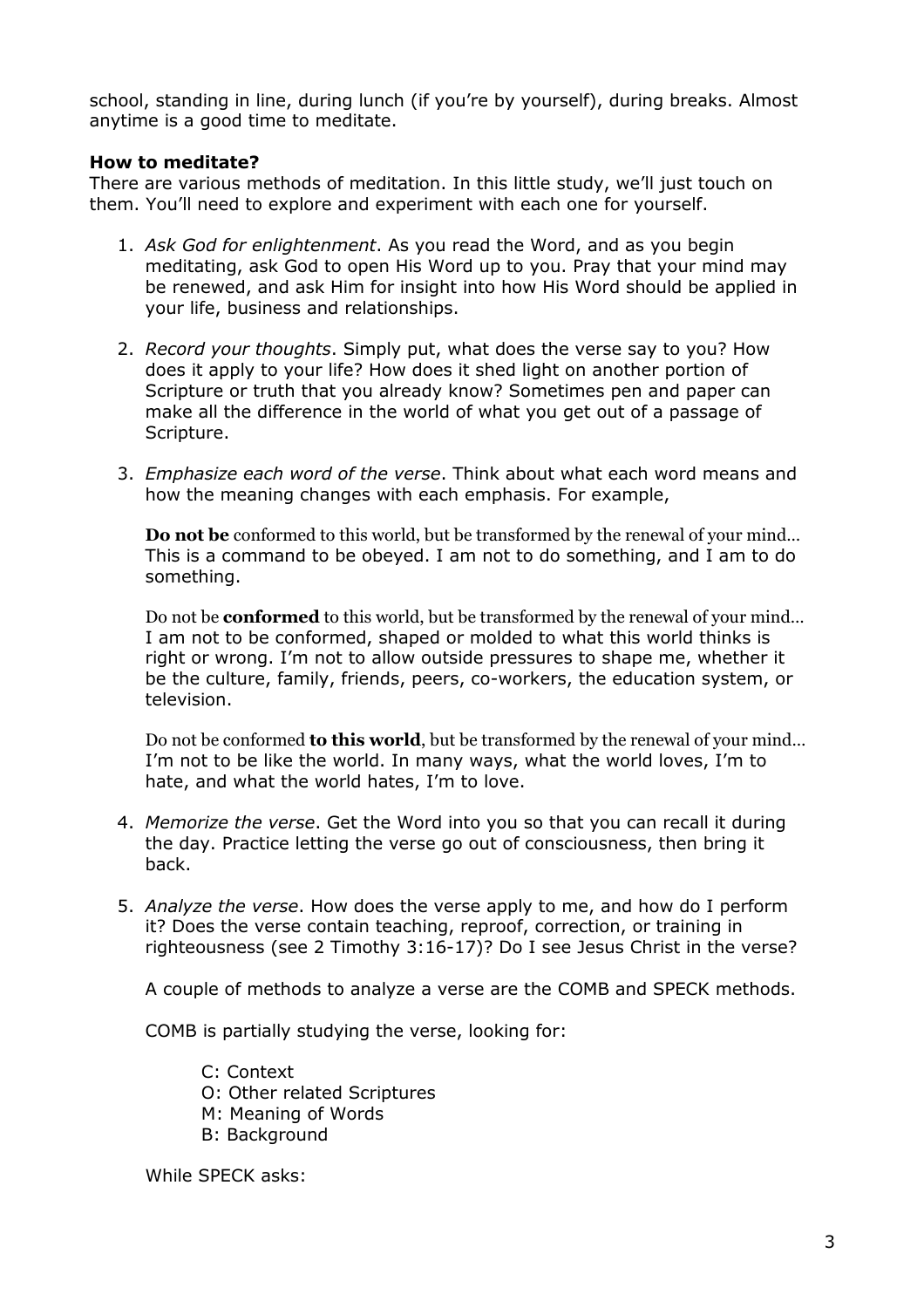school, standing in line, during lunch (if you're by yourself), during breaks, Almost anytime is a good time to meditate.

# **How to meditate?**

There are various methods of meditation. In this little study, we'll just touch on them. You'll need to explore and experiment with each one for yourself.

- 1. Ask God for enlightenment. As you read the Word, and as you begin meditating, ask God to open His Word up to you. Pray that your mind may be renewed, and ask Him for insight into how His Word should be applied in your life, business and relationships.
- 2. Record your thoughts, Simply put, what does the verse say to you? How does it apply to your life? How does it shed light on another portion of Scripture or truth that you already know? Sometimes pen and paper can make all the difference in the world of what you get out of a passage of Scripture.
- 3. Emphasize each word of the verse. Think about what each word means and how the meaning changes with each emphasis. For example,

**Do not be** conformed to this world, but be transformed by the renewal of your mind... This is a command to be obeyed. I am not to do something, and I am to do something.

Do not be **conformed** to this world, but be transformed by the renewal of your mind... I am not to be conformed, shaped or molded to what this world thinks is right or wrong. I'm not to allow outside pressures to shape me, whether it be the culture, family, friends, peers, co-workers, the education system, or television.

Do not be conformed to this world, but be transformed by the renewal of your mind... I'm not to be like the world. In many ways, what the world loves, I'm to hate, and what the world hates, I'm to love.

- 4. Memorize the verse. Get the Word into you so that you can recall it during the day. Practice letting the verse go out of consciousness, then bring it back.
- 5. Analyze the verse. How does the verse apply to me, and how do I perform it? Does the verse contain teaching, reproof, correction, or training in righteousness (see 2 Timothy 3:16-17)? Do I see Jesus Christ in the verse?

A couple of methods to analyze a verse are the COMB and SPECK methods.

COMB is partially studying the verse, looking for:

C: Context O: Other related Scriptures

- M: Meaning of Words
- **B: Background**

While SPECK asks: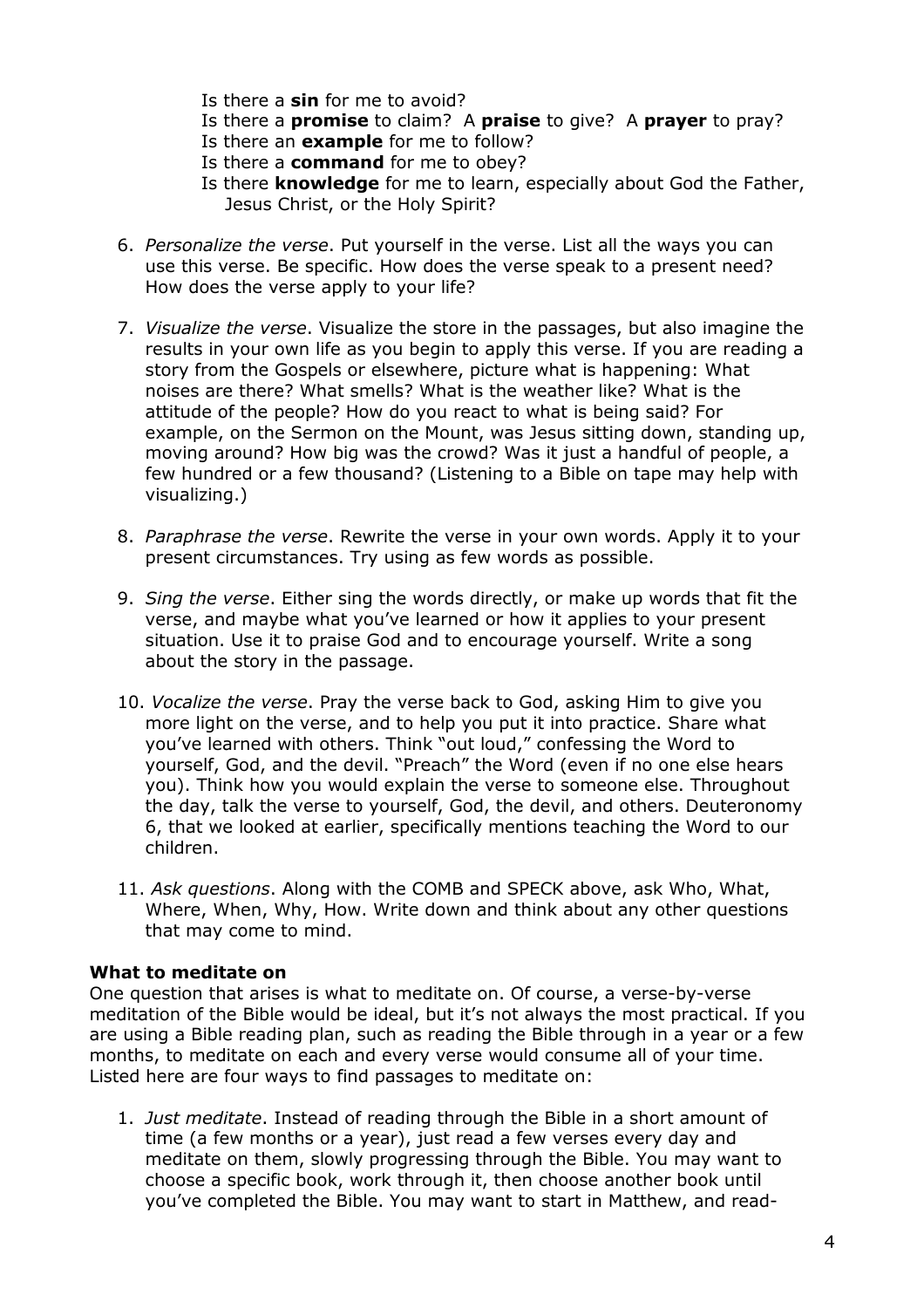- Is there a  $sin$  for me to avoid?
- Is there a **promise** to claim? A **praise** to give? A **prayer** to pray?
- Is there an **example** for me to follow?
- Is there a **command** for me to obey?
- Is there knowledge for me to learn, especially about God the Father, Jesus Christ, or the Holy Spirit?
- 6. Personalize the verse. Put yourself in the verse. List all the ways you can use this verse. Be specific. How does the verse speak to a present need? How does the verse apply to your life?
- 7. Visualize the verse. Visualize the store in the passages, but also imagine the results in your own life as you begin to apply this verse. If you are reading a story from the Gospels or elsewhere, picture what is happening: What noises are there? What smells? What is the weather like? What is the attitude of the people? How do you react to what is being said? For example, on the Sermon on the Mount, was Jesus sitting down, standing up, moving around? How big was the crowd? Was it just a handful of people, a few hundred or a few thousand? (Listening to a Bible on tape may help with visualizing.)
- 8. Paraphrase the verse. Rewrite the verse in your own words. Apply it to your present circumstances. Try using as few words as possible.
- 9. Sing the verse. Either sing the words directly, or make up words that fit the verse, and maybe what you've learned or how it applies to your present situation. Use it to praise God and to encourage yourself. Write a song about the story in the passage.
- 10. Vocalize the verse. Pray the verse back to God, asking Him to give you more light on the verse, and to help you put it into practice. Share what you've learned with others. Think "out loud," confessing the Word to yourself, God, and the devil. "Preach" the Word (even if no one else hears you). Think how you would explain the verse to someone else. Throughout the day, talk the verse to yourself, God, the devil, and others. Deuteronomy 6, that we looked at earlier, specifically mentions teaching the Word to our children.
- 11. Ask questions. Along with the COMB and SPECK above, ask Who, What, Where, When, Why, How. Write down and think about any other questions that may come to mind.

### What to meditate on

One question that arises is what to meditate on. Of course, a verse-by-verse meditation of the Bible would be ideal, but it's not always the most practical. If you are using a Bible reading plan, such as reading the Bible through in a year or a few months, to meditate on each and every verse would consume all of your time. Listed here are four ways to find passages to meditate on:

1. Just meditate. Instead of reading through the Bible in a short amount of time (a few months or a year), just read a few verses every day and meditate on them, slowly progressing through the Bible. You may want to choose a specific book, work through it, then choose another book until you've completed the Bible. You may want to start in Matthew, and read